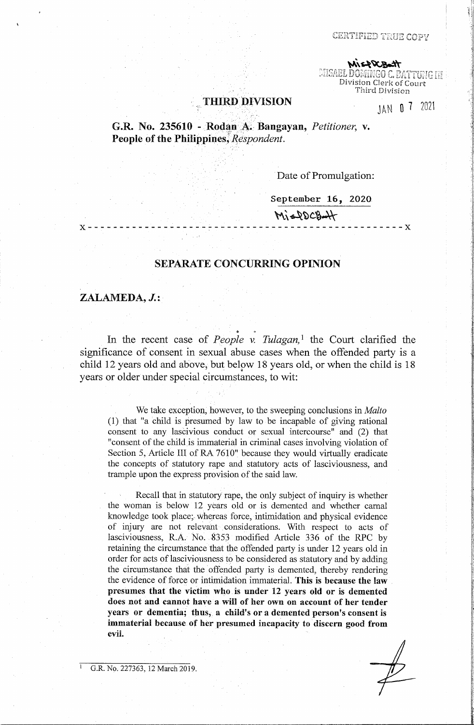CERTIFIED TRUE COPY

**\\\`&\\\&\\\**<br>MISAEL DOMINGO C. BATTUNG III Division Clerk of Court Third Division

### **THIRD DIVISION**

JAN O 7 2021

**G.R. No. 235610 - Rodan A. Bangayan, Petitioner, v. People of the Philippines, Respondent.** 

Date of Promulgation:

**September 16, 2020** 

 $M_1 = QDCB$ 

# **SEPARATE CONCURRING OPINION**

**X** - - - - - - - - - - - - - - - - - - - <sup>~</sup>- - - - - - - - - - - - - - - - - - - - - - - - - - - - - - **X** 

## **ZALAMEDA, J.:**

In the recent case of *People v. Tulagan*,<sup>1</sup> the Court clarified the significance of consent in sexual abuse cases when the offended party is a child 12 years old and above, but below 18 years old, or when the child is 18 years or older under special circumstances, to wit:

We take exception, however, to the sweeping conclusions in *Malta*  (1) that "a child is presumed by law to be incapable of giving rational consent to any lascivious conduct or sexual intercourse" and (2) that "consent of the child is immaterial in criminal cases involving violation of Section 5, Article III of RA 7610" because they would virtually eradicate the concepts of statutory rape and statutory acts of lasciviousness, and trample upon the express provision of the said law.

Recall that in statutory rape, the only subject of inquiry is whether the woman is below 12 years old or is demented and whether carnal knowledge took place; whereas force, intimidation and physical evidence of injury are not relevant considerations. With respect to acts of lasciviousness, R.A. No. 8353 modified Article 336 of the RPC by retaining the circumstance that the offended party is under 12 years old in order for acts of lasciviousness to be considered as statutory and by adding the circumstance that the offended party is demented, thereby rendering the evidence of force or intimidation immaterial. **This is because the law presumes that the victim who is under 12 years old or is demented does not and cannot have a will of her own on account of her tender years or dementia; thus,** a **child's or a demented person's consent** is **immaterial because of her presumed incapacity to· discern good from evil.** 

G.R. No. 227363, 12 March 2019.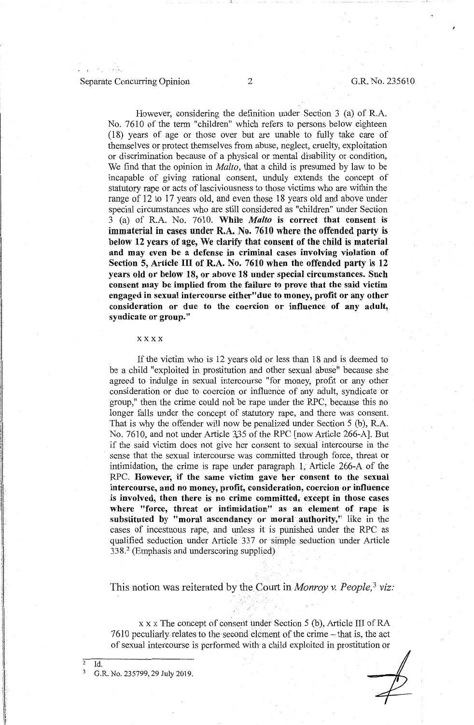## Separate Concurring Opinion 2 G.R. No. 235610

a.

However, considering the definition under Section 3 (a) of R.A. No. 7610 of the term "children" which refers to persons below eighteen (18) years of age or those over but are unable to fully take care of themselves or protect themselves from abuse, neglect, cruelty, exploitation or discrimination because of a physical or mental disability or condition, We find that the opinion in *Malta,* that a child is presumed by law to be incapable of giving rational consent, unduly extends the concept of statutory rape or acts of lasciviousness to those victims who are within the range of 12 to 17 years old, and even those 18 years old and above under special circumstances who are still considered as "children" under Section 3 (a) of R.A. No. 7610. **While** *Malto* **is correct that consent is immaterial** in **cases under R.A. No. 7610 where the offended party is below 12 years of age, We clarify that consent of the child is material and may even be a defense in criminal cases involving violation of Section 5, Article** III **of R.A. No. 7610 when the offended party is 12 years old or below 18, or above 18 under special circumstances. Such consent may be implied from the failure to prove that the said victim engaged in sexual intercourse either"due to money, profit or any other consideration or due to the coercion or influence of any adult, syndicate or group."** 

#### xxxx

If the victim who is 12 years old or less than 18 and is deemed to be a child "exploited in prostitution and other sexual abuse" because she agreed to indulge in sexual intercourse "for money, profit or any other consideration or due to coercion or influence of any adult, syndicate or group," then the crime could no't be rape under the RPC, because this no longer falls under the concept of statutory rape, and there was consent. That is why the offender will now be penalized under Section 5 (b), R.A. No. 7610, and not under Article 335 of the RPC [now Article 266-A]. But if the said victim does not give her consent to sexual intercourse in· the sense that the sexual intercourse was committed through force, threat or intimidation, the crime is rape under paragraph 1, Article 266-A of the RPC. **However,** if **the same victim gave her consent to the sexual intercourse, arid no money, profit, consideration, coercion or influence is involved, then there is no crime committed, except in those cases where "force, threat or intimidation" as an element of rape is**  substituted by "moral ascendancy or moral authority," like in the cases of incestuous rape, and unless it is punished under the RPC as qualified seduction under Article 337 or simple seduction under Article 338.<sup>2</sup>(Emphasis and underscoring supplied)

This notion was reiterated by the Court in *Monroy v. People*,<sup>3</sup> viz:

x x x The concept of consent under Section 5 (b), Article III of RA  $7610$  peculiarly relates to the second element of the crime  $-$  that is, the act of sexual intercourse is perfonned with a child exploited in prostitution or

3 G.R. No. 235799, 29 July 2019.

 $\overline{2 \text{ Id.}}$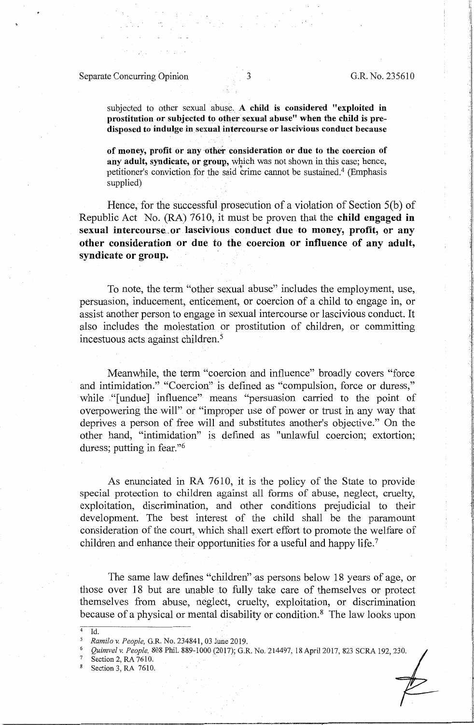# Separate Concurring Opinion 3 G.R. No. 235610

subjected to other sexual abuse. A child is considered "exploited in **prostitution or subjected to other sexual abuse" when the child is pre**disposed to indulge in sexual intercourse or lascivious conduct because

of money, profit or any other consideration or due to the coercion of any adult, syndicate, or group, which was not shown in this case; hence, petitioner's conviction for the said crime cannot be sustained.<sup>4</sup> (Emphasis supplied)

Hence, for the successful prosecution of a violation of Section 5(b) of Republic Act No. (RA) 7610, it must be proven that the **child engaged in**  sexual intercourse or lascivious conduct due to money, profit, or any **other consideration or due** to **the coercion or influence of any adult, syndicate or group.** 

To note, the term "other sexual abuse" includes the employment, use, persuasion, inducement, enticement, or coercion of a child to engage in, or assist another person to engage in sexual intercourse or lascivious conduct. It also includes the molestation or prostitution of children, or committing incestuous acts against children. 5

Meanwhile, the term "coercion and influence" broadly covers "force and intimidation." "Coercion" is defined as "compulsion, force or duress," while "[undue] influence" means "persuasion carried to the point of overpowering the will" *ot* "improper use of power or trust in any way that deprives a person of free will and substitutes another's objective." On the other hand, "intimidation" is defined as "unlawful coercion; extortion; duress; putting in fear."<sup>6</sup>

As enunciated in RA 7610, it is the policy of the State to provide special protection to children against all forms of abuse, neglect, cruelty, exploitation, discrimination, and other conditions prejudicial to their development. The best interest of the child shall be the paramount consideration of the court, which shall exert effort to promote the welfare of children and enhance their opportunities for a useful and happy life.<sup>7</sup>

The same law defines "children" as persons below 18 years of age, or those over 18 but are unable to fully take care of themselves or protect themselves from abuse, neglect, cruelty, exploitation, or discrimination because of a physical or mental disability or condition. 8 The law looks upon

Section 2, RA 7610.

 $\overline{Id.}$ 

Section 3, RA 7610.

*<sup>5</sup> Ramilo v. People,* G.R. No. 234841, 03 June 2019.

<sup>6</sup>*Quimvelv. People,* 808 Phil. 889-1000(2017); G.R. No. 214497, 18April 2017, 823 SCRA 192,230.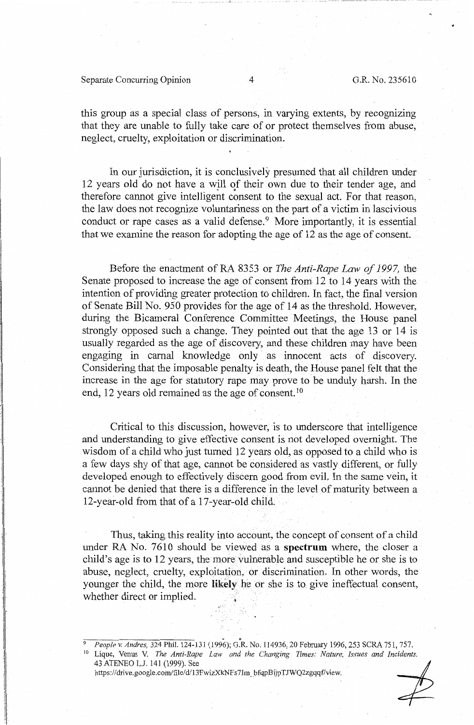## Separate Concurring Opinion 4 G.R. No. 235610

this group as a special class of persons, in varying extents, by recognizing that they are unable to fully take care of or protect themselves from abuse, neglect, cruelty, exploitation or discrimination.

In our jurisdiction, it is conclusively presumed that all children under 12 years old do not have a will of their own due to their tender age, and therefore cannot give intelligent consent to the sexual act. For that reason, the law does not recognize voluntariness on the part of a victim in lascivious conduct or rape cases as a valid defense.<sup>9</sup> More importantly, it is essential that we examine the reason for adopting the age of 12 as the age of consent.

Before the enactment of RA 8353 or *The Anti-Rape Law of 1997,* the Senate proposed to increase the age of consent from 12 to 14 years with the intention of providing greater protection to children. In fact, the final version of Senate Bill No. 950 provides for the age of 14 as the threshold. However, during the Bicameral Conference Committee Meetings, the House panel strongly opposed such a change. They pointed out that the age 13 or 14 is usually regarded as the age of discovery, and these children may have been engaging in carnal knowledge only as innocent acts of discovery. Considering that the imposable penalty is death, the House panel felt that the increase in the age for statutory rape may prove to be unduly harsh. In the end, 12 years old remained as the age of consent.<sup>10</sup>

Critical to this discussion, however, is to underscore that intelligence and understanding to give effective consent is not developed overnight. The wisdom of a child who just turned 12 years old, as opposed to a child who is a few days shy of that age, cannot be considered as vastly different, or fully developed enough to effectively discern good from evil. In the same vein, it cannot be denied that there is a difference in the level of maturity between a 12-year-old from that of a 17-year-old child.

Thus, taking this reality into account, the concept of consent of a child under RA No. 7610 should be viewed as a **spectrum** where, the closer a child's age is to 12 years, the more vulnerable and susceptible he or she is to abuse, neglect, cruelty, exploitation, or discrimination. In other words, the younger the child, the more likely he or she is to give ineffectual consent, whether direct or implied.

People v. Andres, 324 Phil. 124-131 (1996); G.R. No. 114936, 20 February 1996, 253 SCRA 751, 757.<br>
<sup>10</sup> Lique, Venus V. *The Anti-Rape Law and the Changing Times: Nature, Issues and Incidents.*<br>
43 ATENEO L.J. 141 (1999). 10 Lique, Venus V. *The Anti-Rape Law and* rhe *Changing Times: Nature, Issues and Incidents.*  43 ATENEO L.J. 141 (1999). See<br>https://drive.google.com/file/d/13FwizXkNFs7Im bfqpBijpTJWQ2zgqqf/view.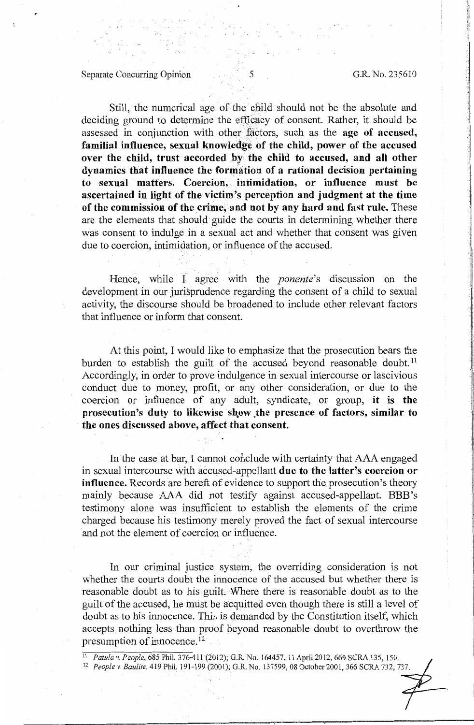l I ·.t

# Separate Concurring Opinion 5 5 G.R. No. 235610

Still, the numerical age of the child should not be the absolute and deciding ground to determine the efficacy of consent. Rather, it should be assessed in conjunction with other factors, such as the **age of accused**, familial influence, sexual knowledge of the child, power of the accused **over the child, trust accorded by the child to accused, and all other dynamics that influence the formation of a rational decision pertaining**  to sexual matters. Coercion, intimidation, or influence must be **ascertained in light of the victim's perception and judgment at the time**  of the commission of the crime, and not by any hard and fast rule. These are the elements that should guide the courts in determining whether there was consent to indulge in a sexual act and whether that consent was given due to coercion, intimidation, or influence of the accused.

Hence, while I agree with the *ponente's* discussion on the development in our jurisprudence regarding the consent of a child to sexual activity, the discourse should be broadened to include other relevant factors that influence or inform that consent.

At this point, I would like to emphasize that the prosecution bears the burden to establish the guilt of the accused beyond reasonable doubt.<sup>11</sup> Accordingly, in order to prove indulgence in sexual intercourse or lascivious conduct due to money, profit, or any other consideration, or due to the coercion or influence of any adult, syndicate, or group, **it is the prosecution's duty to likewise show the presence of factors, similar to** the ones discussed above, affect that consent.

In the case at bar, I cannot conclude with certainty that AAA engaged in sexual intercourse with accused-appellant **due to the latter's coercion or influence.** Records are bereft of evidence to support the prosecution's theory mainly because AAA did not testify against accused-appellant. BBB 's testimony alone was insufficient to establish the elements of the crime charged because his testimony merely proved the fact of sexual intercourse and not the element of coercion or influence.

In our criminal justice system, the overriding consideration is not whether the courts doubt the innocence of the accused but whether there is reasonable doubt as to his guilt. Where there is reasonable doubt as to the guilt of the accused, he must be acquitted even though there is still a level of doubt as to his innocence. This is demanded by the Constitution itself, which accepts nothing less than proof beyond reasonable doubt to overthrow the presumption of innocence. 12

<sup>11</sup>*Fatula v. People,* 685 Phil. 376-411 (2012); G.R. No. 164457, 11 April 2012, 669 SCRA 135, 150.

<sup>12</sup>*People v. Baulite,* 419 Phil. 191-199 (2001); G.R. No. 137599, 08 October 2001, 366 SCRA 732, 737.